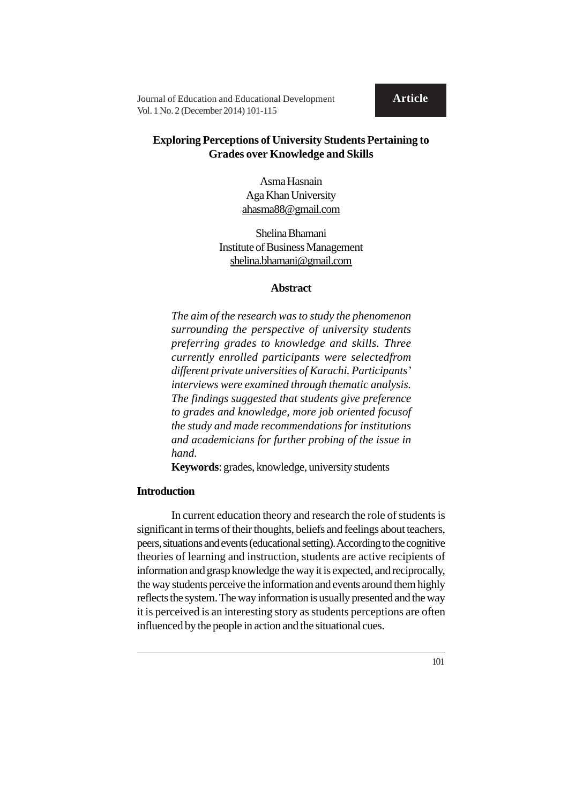Journal of Education and Educational Development **Article** Vol. 1 No. 2 (December 2014) 101-115

# **Exploring Perceptions of University Students Pertaining to Grades over Knowledge and Skills**

Asma Hasnain Aga Khan University ahasma88@gmail.com

Shelina Bhamani Institute of Business Management shelina.bhamani@gmail.com

# **Abstract**

*The aim of the research was to study the phenomenon surrounding the perspective of university students preferring grades to knowledge and skills. Three currently enrolled participants were selectedfrom different private universities of Karachi. Participants' interviews were examined through thematic analysis. The findings suggested that students give preference to grades and knowledge, more job oriented focusof the study and made recommendations for institutions and academicians for further probing of the issue in hand.*

**Keywords**: grades, knowledge, university students

# **Introduction**

In current education theory and research the role of students is significant in terms of their thoughts, beliefs and feelings about teachers, peers, situations and events (educational setting). According to the cognitive theories of learning and instruction, students are active recipients of information and grasp knowledge the way it is expected, and reciprocally, the way students perceive the information and events around them highly reflects the system. The way information is usually presented and the way it is perceived is an interesting story as students perceptions are often influenced by the people in action and the situational cues.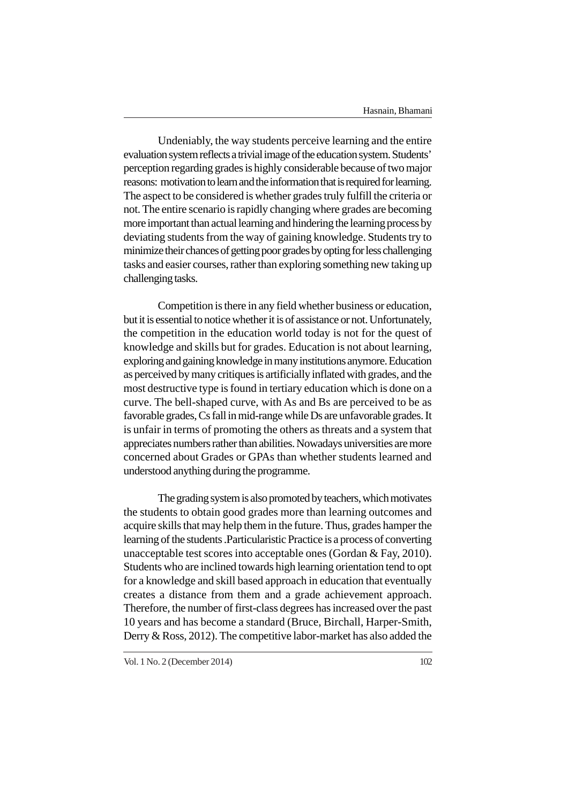Undeniably, the way students perceive learning and the entire evaluation system reflects a trivial image of the education system. Students' perception regarding grades is highly considerable because of two major reasons: motivation to learn and the information that is required for learning. The aspect to be considered is whether grades truly fulfill the criteria or not. The entire scenario is rapidly changing where grades are becoming more important than actual learning and hindering the learning process by deviating students from the way of gaining knowledge. Students try to minimize their chances of getting poor grades by opting for less challenging tasks and easier courses, rather than exploring something new taking up challenging tasks.

Competition is there in any field whether business or education, but it is essential to notice whether it is of assistance or not. Unfortunately, the competition in the education world today is not for the quest of knowledge and skills but for grades. Education is not about learning, exploring and gaining knowledge in many institutions anymore. Education as perceived by many critiques is artificially inflated with grades, and the most destructive type is found in tertiary education which is done on a curve. The bell-shaped curve, with As and Bs are perceived to be as favorable grades, Cs fall in mid-range while Ds are unfavorable grades. It is unfair in terms of promoting the others as threats and a system that appreciates numbers rather than abilities. Nowadays universities are more concerned about Grades or GPAs than whether students learned and understood anything during the programme.

The grading system is also promoted by teachers, which motivates the students to obtain good grades more than learning outcomes and acquire skills that may help them in the future. Thus, grades hamper the learning of the students .Particularistic Practice is a process of converting unacceptable test scores into acceptable ones (Gordan & Fay, 2010). Students who are inclined towards high learning orientation tend to opt for a knowledge and skill based approach in education that eventually creates a distance from them and a grade achievement approach. Therefore, the number of first-class degrees has increased over the past 10 years and has become a standard (Bruce, Birchall, Harper-Smith, Derry & Ross, 2012). The competitive labor-market has also added the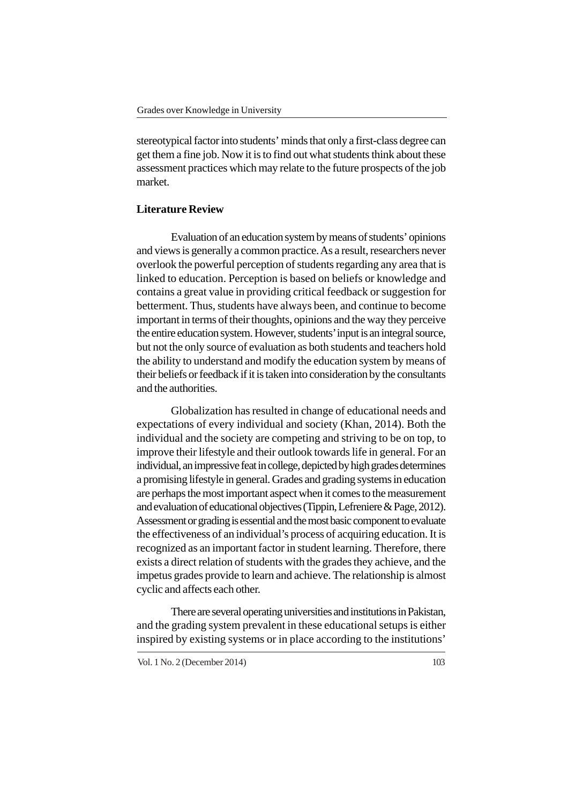stereotypical factor into students' minds that only a first-class degree can get them a fine job. Now it is to find out what students think about these assessment practices which may relate to the future prospects of the job market.

# **Literature Review**

Evaluation of an education system by means of students' opinions and views is generally a common practice. As a result, researchers never overlook the powerful perception of students regarding any area that is linked to education. Perception is based on beliefs or knowledge and contains a great value in providing critical feedback or suggestion for betterment. Thus, students have always been, and continue to become important in terms of their thoughts, opinions and the way they perceive the entire education system. However, students' input is an integral source, but not the only source of evaluation as both students and teachers hold the ability to understand and modify the education system by means of their beliefs or feedback if it is taken into consideration by the consultants and the authorities.

Globalization has resulted in change of educational needs and expectations of every individual and society (Khan, 2014). Both the individual and the society are competing and striving to be on top, to improve their lifestyle and their outlook towards life in general. For an individual, an impressive feat in college, depicted by high grades determines a promising lifestyle in general. Grades and grading systems in education are perhaps the most important aspect when it comes to the measurement and evaluation of educational objectives (Tippin, Lefreniere & Page, 2012). Assessment or grading is essential and the most basic component to evaluate the effectiveness of an individual's process of acquiring education. It is recognized as an important factor in student learning. Therefore, there exists a direct relation of students with the grades they achieve, and the impetus grades provide to learn and achieve. The relationship is almost cyclic and affects each other.

There are several operating universities and institutions in Pakistan, and the grading system prevalent in these educational setups is either inspired by existing systems or in place according to the institutions'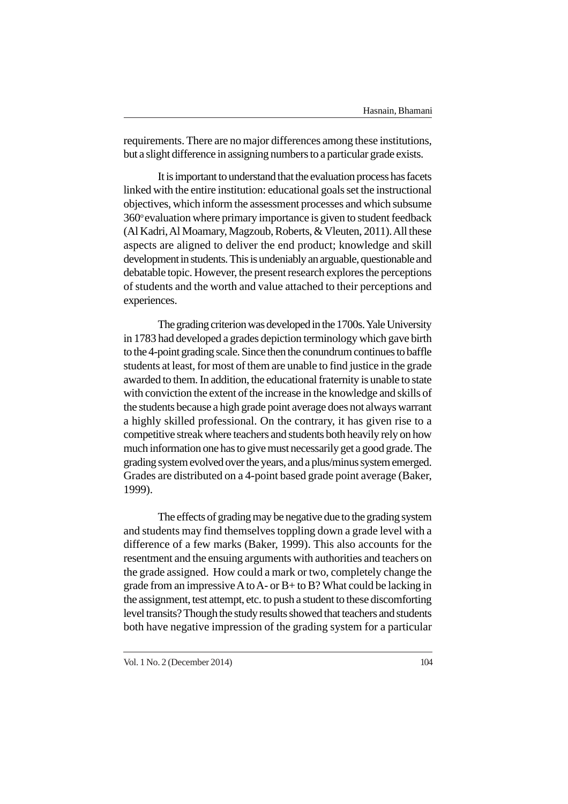requirements. There are no major differences among these institutions, but a slight difference in assigning numbers to a particular grade exists.

It is important to understand that the evaluation process has facets linked with the entire institution: educational goals set the instructional objectives, which inform the assessment processes and which subsume  $360^\circ$  evaluation where primary importance is given to student feedback (Al Kadri, Al Moamary, Magzoub, Roberts, & Vleuten, 2011). All these aspects are aligned to deliver the end product; knowledge and skill development in students. This is undeniably an arguable, questionable and debatable topic. However, the present research explores the perceptions of students and the worth and value attached to their perceptions and experiences.

The grading criterion was developed in the 1700s. Yale University in 1783 had developed a grades depiction terminology which gave birth to the 4-point grading scale. Since then the conundrum continues to baffle students at least, for most of them are unable to find justice in the grade awarded to them. In addition, the educational fraternity is unable to state with conviction the extent of the increase in the knowledge and skills of the students because a high grade point average does not always warrant a highly skilled professional. On the contrary, it has given rise to a competitive streak where teachers and students both heavily rely on how much information one has to give must necessarily get a good grade. The grading system evolved over the years, and a plus/minus system emerged. Grades are distributed on a 4-point based grade point average (Baker, 1999).

The effects of grading may be negative due to the grading system and students may find themselves toppling down a grade level with a difference of a few marks (Baker, 1999). This also accounts for the resentment and the ensuing arguments with authorities and teachers on the grade assigned. How could a mark or two, completely change the grade from an impressive A to A- or B+ to B? What could be lacking in the assignment, test attempt, etc. to push a student to these discomforting level transits? Though the study results showed that teachers and students both have negative impression of the grading system for a particular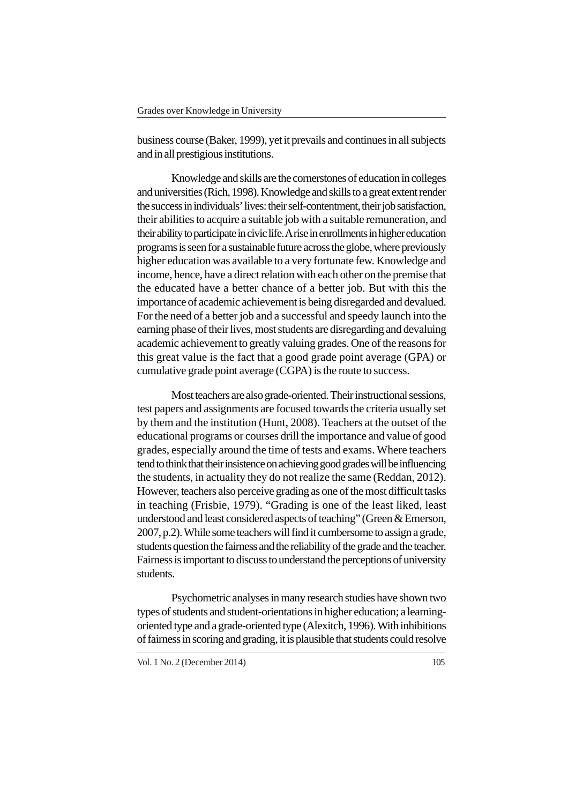business course (Baker, 1999), yet it prevails and continues in all subjects and in all prestigious institutions.

Knowledge and skills are the cornerstones of education in colleges and universities (Rich, 1998). Knowledge and skills to a great extent render the success in individuals' lives: their self-contentment, their job satisfaction, their abilities to acquire a suitable job with a suitable remuneration, and their ability to participate in civic life. A rise in enrollments in higher education programs is seen for a sustainable future across the globe, where previously higher education was available to a very fortunate few. Knowledge and income, hence, have a direct relation with each other on the premise that the educated have a better chance of a better job. But with this the importance of academic achievement is being disregarded and devalued. For the need of a better job and a successful and speedy launch into the earning phase of their lives, most students are disregarding and devaluing academic achievement to greatly valuing grades. One of the reasons for this great value is the fact that a good grade point average (GPA) or cumulative grade point average (CGPA) is the route to success.

Most teachers are also grade-oriented. Their instructional sessions, test papers and assignments are focused towards the criteria usually set by them and the institution (Hunt, 2008). Teachers at the outset of the educational programs or courses drill the importance and value of good grades, especially around the time of tests and exams. Where teachers tend to think that their insistence on achieving good grades will be influencing the students, in actuality they do not realize the same (Reddan, 2012). However, teachers also perceive grading as one of the most difficult tasks in teaching (Frisbie, 1979). "Grading is one of the least liked, least understood and least considered aspects of teaching" (Green & Emerson, 2007, p.2). While some teachers will find it cumbersome to assign a grade, students question the fairness and the reliability of the grade and the teacher. Fairness is important to discuss to understand the perceptions of university students.

Psychometric analyses in many research studies have shown two types of students and student-orientations in higher education; a learningoriented type and a grade-oriented type (Alexitch, 1996). With inhibitions of fairness in scoring and grading, it is plausible that students could resolve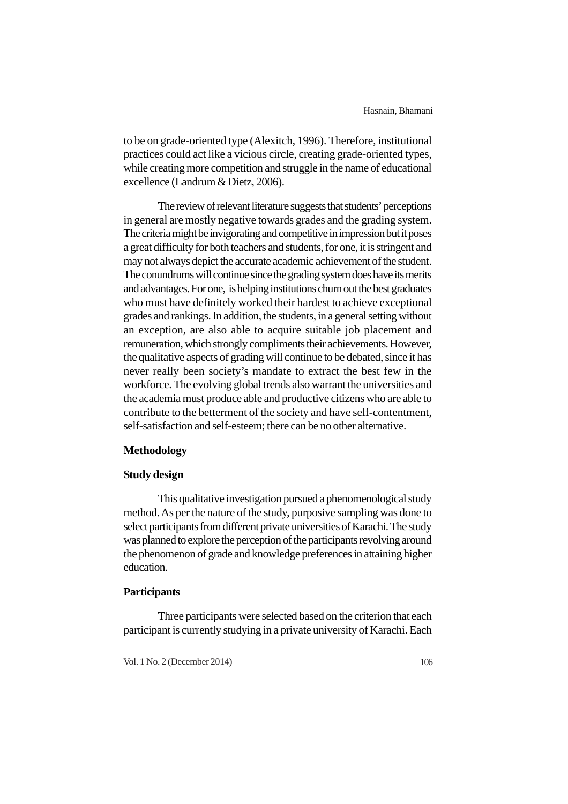to be on grade-oriented type (Alexitch, 1996). Therefore, institutional practices could act like a vicious circle, creating grade-oriented types, while creating more competition and struggle in the name of educational excellence (Landrum & Dietz, 2006).

The review of relevant literature suggests that students' perceptions in general are mostly negative towards grades and the grading system. The criteria might be invigorating and competitive in impression but it poses a great difficulty for both teachers and students, for one, it is stringent and may not always depict the accurate academic achievement of the student. The conundrums will continue since the grading system does have its merits and advantages. For one, is helping institutions churn out the best graduates who must have definitely worked their hardest to achieve exceptional grades and rankings. In addition, the students, in a general setting without an exception, are also able to acquire suitable job placement and remuneration, which strongly compliments their achievements. However, the qualitative aspects of grading will continue to be debated, since it has never really been society's mandate to extract the best few in the workforce. The evolving global trends also warrant the universities and the academia must produce able and productive citizens who are able to contribute to the betterment of the society and have self-contentment, self-satisfaction and self-esteem; there can be no other alternative.

## **Methodology**

### **Study design**

This qualitative investigation pursued a phenomenological study method. As per the nature of the study, purposive sampling was done to select participants from different private universities of Karachi. The study was planned to explore the perception of the participants revolving around the phenomenon of grade and knowledge preferences in attaining higher education.

# **Participants**

Three participants were selected based on the criterion that each participant is currently studying in a private university of Karachi. Each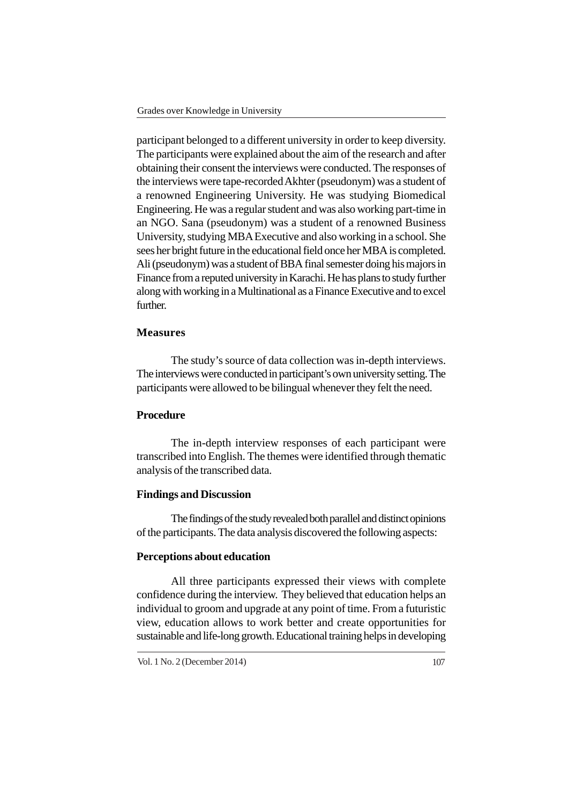participant belonged to a different university in order to keep diversity. The participants were explained about the aim of the research and after obtaining their consent the interviews were conducted. The responses of the interviews were tape-recorded Akhter (pseudonym) was a student of a renowned Engineering University. He was studying Biomedical Engineering. He was a regular student and was also working part-time in an NGO. Sana (pseudonym) was a student of a renowned Business University, studying MBA Executive and also working in a school. She sees her bright future in the educational field once her MBA is completed. Ali (pseudonym) was a student of BBA final semester doing his majors in Finance from a reputed university in Karachi. He has plans to study further along with working in a Multinational as a Finance Executive and to excel further.

# **Measures**

The study's source of data collection was in-depth interviews. The interviews were conducted in participant's own university setting. The participants were allowed to be bilingual whenever they felt the need.

# **Procedure**

The in-depth interview responses of each participant were transcribed into English. The themes were identified through thematic analysis of the transcribed data.

#### **Findings and Discussion**

The findings of the study revealed both parallel and distinct opinions of the participants. The data analysis discovered the following aspects:

#### **Perceptions about education**

All three participants expressed their views with complete confidence during the interview. They believed that education helps an individual to groom and upgrade at any point of time. From a futuristic view, education allows to work better and create opportunities for sustainable and life-long growth. Educational training helps in developing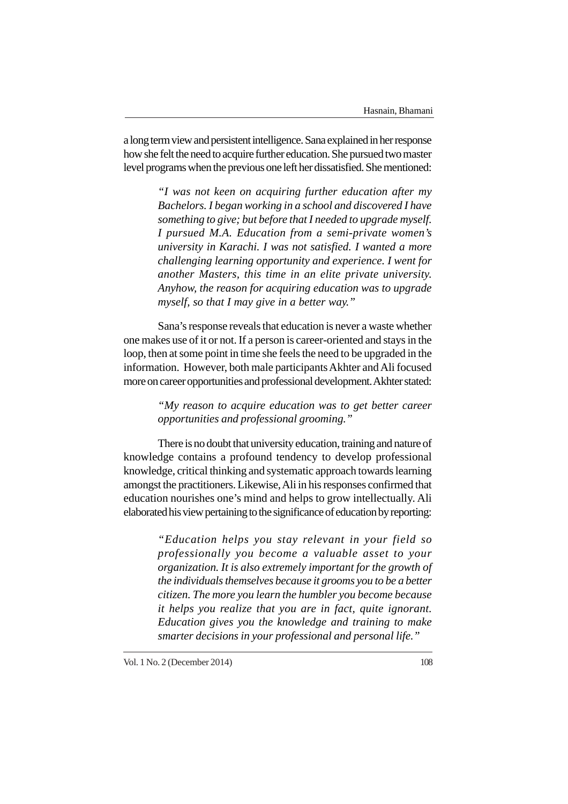a long term view and persistent intelligence. Sana explained in her response how she felt the need to acquire further education. She pursued two master level programs when the previous one left her dissatisfied. She mentioned:

> *"I was not keen on acquiring further education after my Bachelors. I began working in a school and discovered I have something to give; but before that I needed to upgrade myself. I pursued M.A. Education from a semi-private women's university in Karachi. I was not satisfied. I wanted a more challenging learning opportunity and experience. I went for another Masters, this time in an elite private university. Anyhow, the reason for acquiring education was to upgrade myself, so that I may give in a better way."*

Sana's response reveals that education is never a waste whether one makes use of it or not. If a person is career-oriented and stays in the loop, then at some point in time she feels the need to be upgraded in the information. However, both male participants Akhter and Ali focused more on career opportunities and professional development. Akhter stated:

# *"My reason to acquire education was to get better career opportunities and professional grooming."*

There is no doubt that university education, training and nature of knowledge contains a profound tendency to develop professional knowledge, critical thinking and systematic approach towards learning amongst the practitioners. Likewise, Ali in his responses confirmed that education nourishes one's mind and helps to grow intellectually. Ali elaborated his view pertaining to the significance of education by reporting:

> *"Education helps you stay relevant in your field so professionally you become a valuable asset to your organization. It is also extremely important for the growth of the individuals themselves because it grooms you to be a better citizen. The more you learn the humbler you become because it helps you realize that you are in fact, quite ignorant. Education gives you the knowledge and training to make smarter decisions in your professional and personal life."*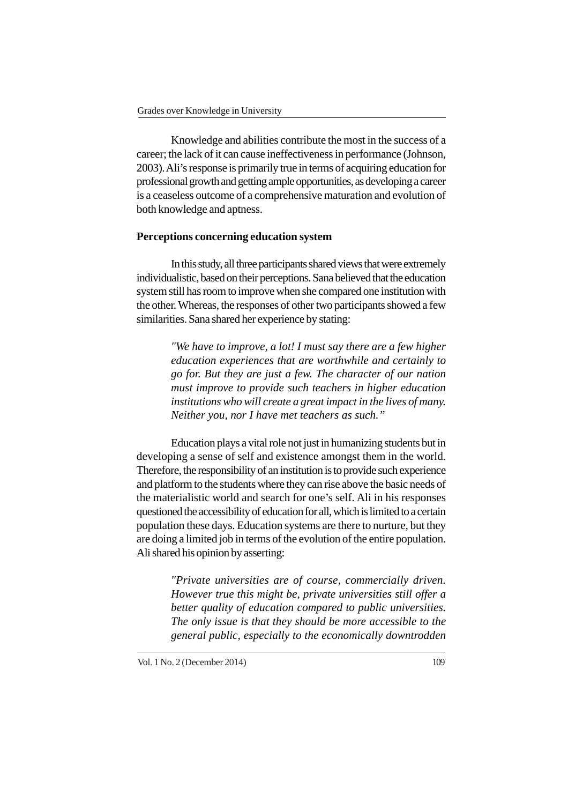Knowledge and abilities contribute the most in the success of a career; the lack of it can cause ineffectiveness in performance (Johnson, 2003). Ali's response is primarily true in terms of acquiring education for professional growth and getting ample opportunities, as developing a career is a ceaseless outcome of a comprehensive maturation and evolution of both knowledge and aptness.

# **Perceptions concerning education system**

In this study, all three participants shared views that were extremely individualistic, based on their perceptions. Sana believed that the education system still has room to improve when she compared one institution with the other. Whereas, the responses of other two participants showed a few similarities. Sana shared her experience by stating:

> *"We have to improve, a lot! I must say there are a few higher education experiences that are worthwhile and certainly to go for. But they are just a few. The character of our nation must improve to provide such teachers in higher education institutions who will create a great impact in the lives of many. Neither you, nor I have met teachers as such."*

Education plays a vital role not just in humanizing students but in developing a sense of self and existence amongst them in the world. Therefore, the responsibility of an institution is to provide such experience and platform to the students where they can rise above the basic needs of the materialistic world and search for one's self. Ali in his responses questioned the accessibility of education for all, which is limited to a certain population these days. Education systems are there to nurture, but they are doing a limited job in terms of the evolution of the entire population. Ali shared his opinion by asserting:

> *"Private universities are of course, commercially driven. However true this might be, private universities still offer a better quality of education compared to public universities. The only issue is that they should be more accessible to the general public, especially to the economically downtrodden*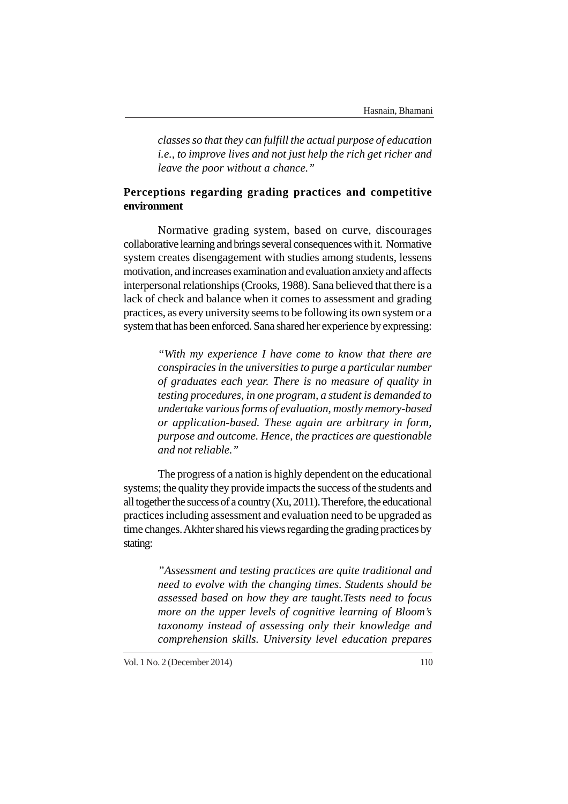*classes so that they can fulfill the actual purpose of education i.e., to improve lives and not just help the rich get richer and leave the poor without a chance."*

# **Perceptions regarding grading practices and competitive environment**

Normative grading system, based on curve, discourages collaborative learning and brings several consequences with it. Normative system creates disengagement with studies among students, lessens motivation, and increases examination and evaluation anxiety and affects interpersonal relationships (Crooks, 1988). Sana believed that there is a lack of check and balance when it comes to assessment and grading practices, as every university seems to be following its own system or a system that has been enforced. Sana shared her experience by expressing:

> *"With my experience I have come to know that there are conspiracies in the universities to purge a particular number of graduates each year. There is no measure of quality in testing procedures, in one program, a student is demanded to undertake various forms of evaluation, mostly memory-based or application-based. These again are arbitrary in form, purpose and outcome. Hence, the practices are questionable and not reliable."*

The progress of a nation is highly dependent on the educational systems; the quality they provide impacts the success of the students and all together the success of a country (Xu, 2011). Therefore, the educational practices including assessment and evaluation need to be upgraded as time changes. Akhter shared his views regarding the grading practices by stating:

> *"Assessment and testing practices are quite traditional and need to evolve with the changing times. Students should be assessed based on how they are taught.Tests need to focus more on the upper levels of cognitive learning of Bloom's taxonomy instead of assessing only their knowledge and comprehension skills. University level education prepares*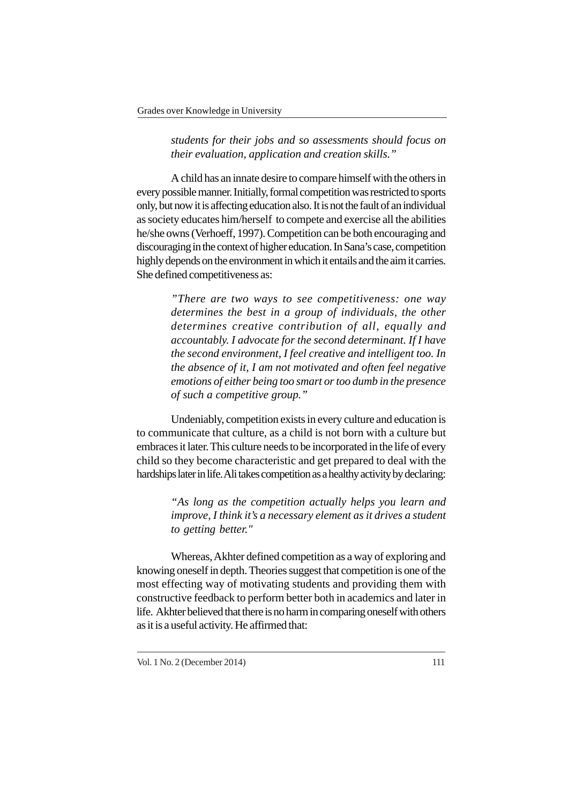*students for their jobs and so assessments should focus on their evaluation, application and creation skills."*

A child has an innate desire to compare himself with the others in every possible manner. Initially, formal competition was restricted to sports only, but now it is affecting education also. It is not the fault of an individual as society educates him/herself to compete and exercise all the abilities he/she owns (Verhoeff, 1997). Competition can be both encouraging and discouraging in the context of higher education. In Sana's case, competition highly depends on the environment in which it entails and the aim it carries. She defined competitiveness as:

> *"There are two ways to see competitiveness: one way determines the best in a group of individuals, the other determines creative contribution of all, equally and accountably. I advocate for the second determinant. If I have the second environment, I feel creative and intelligent too. In the absence of it, I am not motivated and often feel negative emotions of either being too smart or too dumb in the presence of such a competitive group."*

Undeniably, competition exists in every culture and education is to communicate that culture, as a child is not born with a culture but embraces it later. This culture needs to be incorporated in the life of every child so they become characteristic and get prepared to deal with the hardships later in life. Ali takes competition as a healthy activity by declaring:

> *"As long as the competition actually helps you learn and improve, I think it's a necessary element as it drives a student to getting better."*

Whereas, Akhter defined competition as a way of exploring and knowing oneself in depth. Theories suggest that competition is one of the most effecting way of motivating students and providing them with constructive feedback to perform better both in academics and later in life. Akhter believed that there is no harm in comparing oneself with others as it is a useful activity. He affirmed that: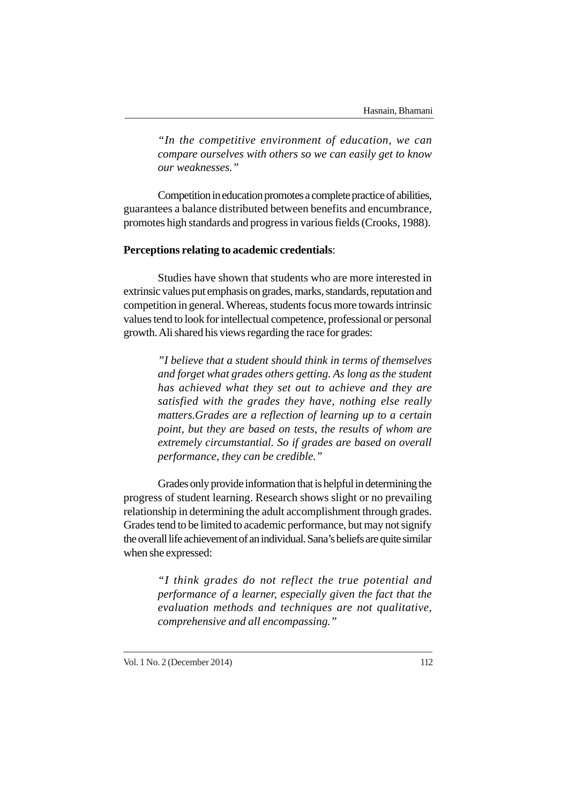*"In the competitive environment of education, we can compare ourselves with others so we can easily get to know our weaknesses."*

Competition in education promotes a complete practice of abilities, guarantees a balance distributed between benefits and encumbrance, promotes high standards and progress in various fields (Crooks, 1988).

# **Perceptions relating to academic credentials**:

Studies have shown that students who are more interested in extrinsic values put emphasis on grades, marks, standards, reputation and competition in general. Whereas, students focus more towards intrinsic values tend to look for intellectual competence, professional or personal growth. Ali shared his views regarding the race for grades:

> *"I believe that a student should think in terms of themselves and forget what grades others getting. As long as the student has achieved what they set out to achieve and they are satisfied with the grades they have, nothing else really matters.Grades are a reflection of learning up to a certain point, but they are based on tests, the results of whom are extremely circumstantial. So if grades are based on overall performance, they can be credible."*

Grades only provide information that is helpful in determining the progress of student learning. Research shows slight or no prevailing relationship in determining the adult accomplishment through grades. Grades tend to be limited to academic performance, but may not signify the overall life achievement of an individual. Sana's beliefs are quite similar when she expressed:

> *"I think grades do not reflect the true potential and performance of a learner, especially given the fact that the evaluation methods and techniques are not qualitative, comprehensive and all encompassing."*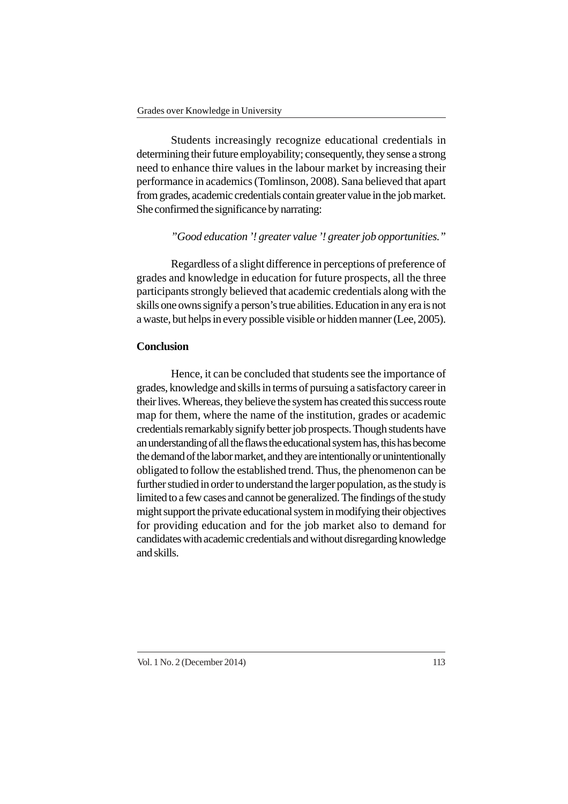Students increasingly recognize educational credentials in determining their future employability; consequently, they sense a strong need to enhance thire values in the labour market by increasing their performance in academics (Tomlinson, 2008). Sana believed that apart from grades, academic credentials contain greater value in the job market. She confirmed the significance by narrating:

## *"Good education '! greater value '! greater job opportunities."*

Regardless of a slight difference in perceptions of preference of grades and knowledge in education for future prospects, all the three participants strongly believed that academic credentials along with the skills one owns signify a person's true abilities. Education in any era is not a waste, but helps in every possible visible or hidden manner (Lee, 2005).

## **Conclusion**

Hence, it can be concluded that students see the importance of grades, knowledge and skills in terms of pursuing a satisfactory career in their lives. Whereas, they believe the system has created this success route map for them, where the name of the institution, grades or academic credentials remarkably signify better job prospects. Though students have an understanding of all the flaws the educational system has, this has become the demand of the labor market, and they are intentionally or unintentionally obligated to follow the established trend. Thus, the phenomenon can be further studied in order to understand the larger population, as the study is limited to a few cases and cannot be generalized. The findings of the study might support the private educational system in modifying their objectives for providing education and for the job market also to demand for candidates with academic credentials and without disregarding knowledge and skills.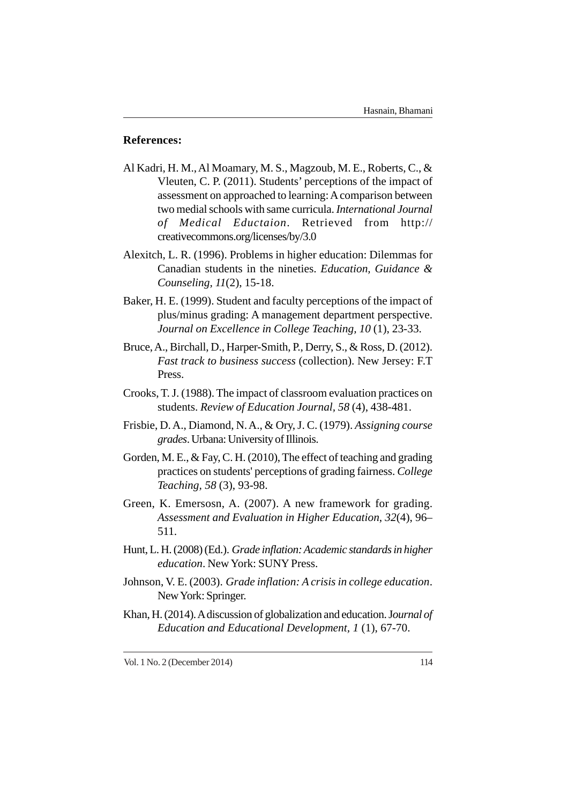# **References:**

- Al Kadri, H. M., Al Moamary, M. S., Magzoub, M. E., Roberts, C., & Vleuten, C. P. (2011). Students' perceptions of the impact of assessment on approached to learning: A comparison between two medial schools with same curricula. *International Journal of Medical Eductaion*. Retrieved from http:// creativecommons.org/licenses/by/3.0
- Alexitch, L. R. (1996). Problems in higher education: Dilemmas for Canadian students in the nineties. *Education, Guidance & Counseling, 11*(2), 15-18.
- Baker, H. E. (1999). Student and faculty perceptions of the impact of plus/minus grading: A management department perspective. *Journal on Excellence in College Teaching, 10* (1), 23-33.
- Bruce, A., Birchall, D., Harper-Smith, P., Derry, S., & Ross, D. (2012). *Fast track to business success* (collection). New Jersey: F.T Press.
- Crooks, T. J. (1988). The impact of classroom evaluation practices on students. *Review of Education Journal, 58* (4), 438-481.
- Frisbie, D. A., Diamond, N. A., & Ory, J. C. (1979). *Assigning course grades*. Urbana: University of Illinois.
- Gorden, M. E., & Fay, C. H. (2010), The effect of teaching and grading practices on students' perceptions of grading fairness. *College Teaching, 58* (3), 93-98.
- Green, K. Emersosn, A. (2007). A new framework for grading. *Assessment and Evaluation in Higher Education*, *32*(4), 96– 511.
- Hunt, L. H. (2008) (Ed.). *Grade inflation: Academic standards in higher education*. New York: SUNY Press.
- Johnson, V. E. (2003). *Grade inflation: A crisis in college education*. New York: Springer.
- Khan, H. (2014). A discussion of globalization and education. J*ournal of Education and Educational Development, 1* (1), 67-70.

Vol. 1 No. 2 (December 2014) 114